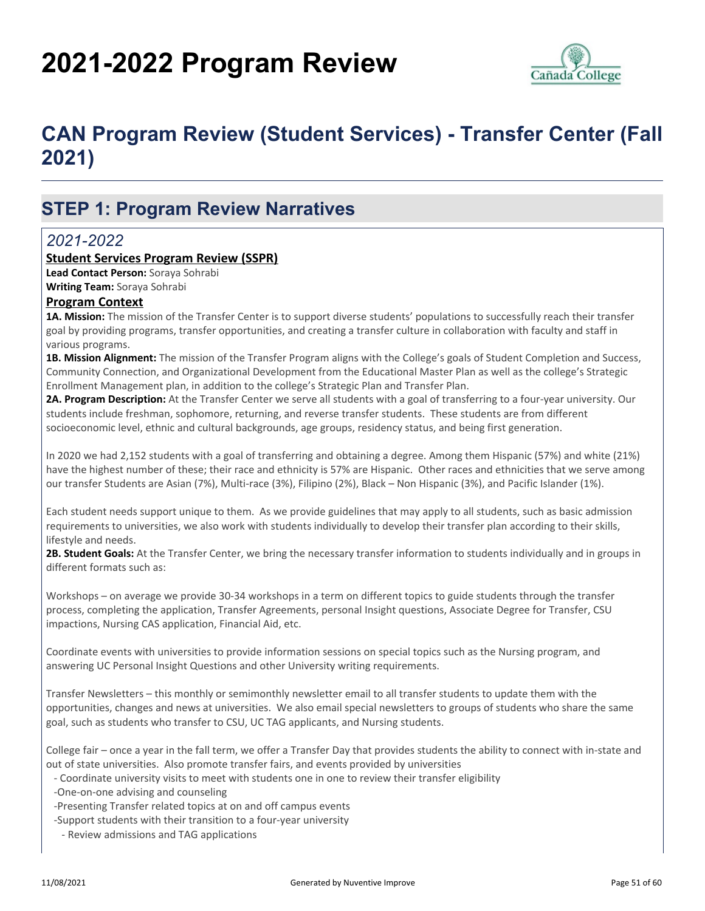# **2021-2022 Program Review**



# **CAN Program Review (Student Services) - Transfer Center (Fall 2021)**

## **STEP 1: Program Review Narratives**

#### *2021-2022*

#### **Student Services Program Review (SSPR)**

**Lead Contact Person:** Soraya Sohrabi **Writing Team:** Soraya Sohrabi

#### **Program Context**

**1A. Mission:** The mission of the Transfer Center is to support diverse students' populations to successfully reach their transfer goal by providing programs, transfer opportunities, and creating a transfer culture in collaboration with faculty and staff in various programs.

**1B. Mission Alignment:** The mission of the Transfer Program aligns with the College's goals of Student Completion and Success, Community Connection, and Organizational Development from the Educational Master Plan as well as the college's Strategic Enrollment Management plan, in addition to the college's Strategic Plan and Transfer Plan.

**2A. Program Description:** At the Transfer Center we serve all students with a goal of transferring to a four-year university. Our students include freshman, sophomore, returning, and reverse transfer students. These students are from different socioeconomic level, ethnic and cultural backgrounds, age groups, residency status, and being first generation.

In 2020 we had 2,152 students with a goal of transferring and obtaining a degree. Among them Hispanic (57%) and white (21%) have the highest number of these; their race and ethnicity is 57% are Hispanic. Other races and ethnicities that we serve among our transfer Students are Asian (7%), Multi-race (3%), Filipino (2%), Black – Non Hispanic (3%), and Pacific Islander (1%).

Each student needs support unique to them. As we provide guidelines that may apply to all students, such as basic admission requirements to universities, we also work with students individually to develop their transfer plan according to their skills, lifestyle and needs.

**2B. Student Goals:** At the Transfer Center, we bring the necessary transfer information to students individually and in groups in different formats such as:

Workshops – on average we provide 30-34 workshops in a term on different topics to guide students through the transfer process, completing the application, Transfer Agreements, personal Insight questions, Associate Degree for Transfer, CSU impactions, Nursing CAS application, Financial Aid, etc.

Coordinate events with universities to provide information sessions on special topics such as the Nursing program, and answering UC Personal Insight Questions and other University writing requirements.

Transfer Newsletters – this monthly or semimonthly newsletter email to all transfer students to update them with the opportunities, changes and news at universities. We also email special newsletters to groups of students who share the same goal, such as students who transfer to CSU, UC TAG applicants, and Nursing students.

College fair – once a year in the fall term, we offer a Transfer Day that provides students the ability to connect with in-state and out of state universities. Also promote transfer fairs, and events provided by universities

- Coordinate university visits to meet with students one in one to review their transfer eligibility
- -One-on-one advising and counseling
- -Presenting Transfer related topics at on and off campus events
- -Support students with their transition to a four-year university
- Review admissions and TAG applications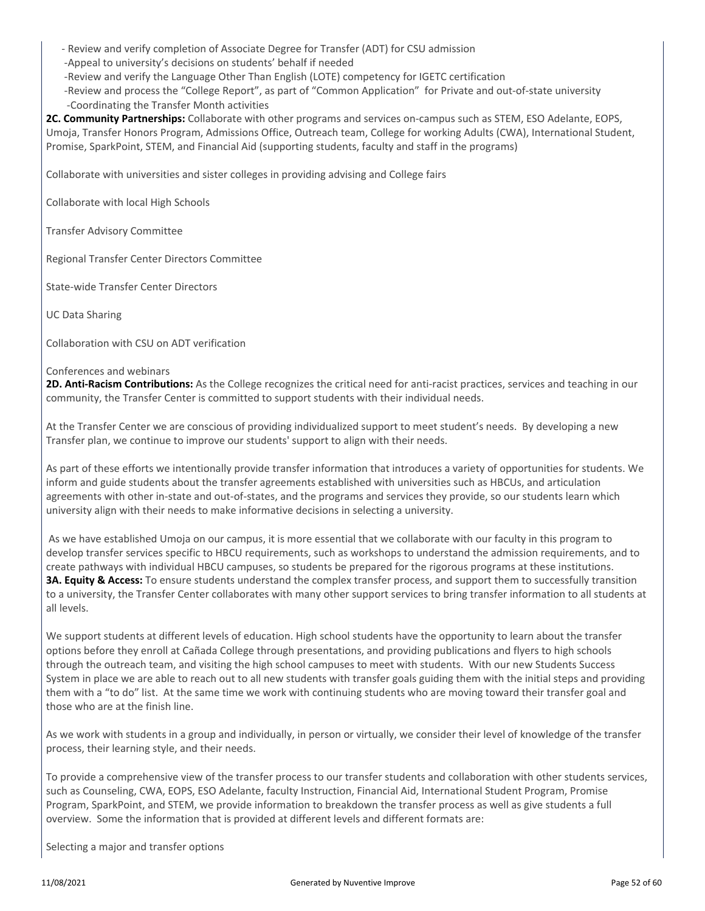- Review and verify completion of Associate Degree for Transfer (ADT) for CSU admission
- -Appeal to university's decisions on students' behalf if needed
- -Review and verify the Language Other Than English (LOTE) competency for IGETC certification

 -Review and process the "College Report", as part of "Common Application" for Private and out-of-state university -Coordinating the Transfer Month activities

**2C. Community Partnerships:** Collaborate with other programs and services on-campus such as STEM, ESO Adelante, EOPS, Umoja, Transfer Honors Program, Admissions Office, Outreach team, College for working Adults (CWA), International Student, Promise, SparkPoint, STEM, and Financial Aid (supporting students, faculty and staff in the programs)

Collaborate with universities and sister colleges in providing advising and College fairs

Collaborate with local High Schools

Transfer Advisory Committee

Regional Transfer Center Directors Committee

State-wide Transfer Center Directors

UC Data Sharing

Collaboration with CSU on ADT verification

#### Conferences and webinars

**2D. Anti-Racism Contributions:** As the College recognizes the critical need for anti-racist practices, services and teaching in our community, the Transfer Center is committed to support students with their individual needs.

At the Transfer Center we are conscious of providing individualized support to meet student's needs. By developing a new Transfer plan, we continue to improve our students' support to align with their needs.

As part of these efforts we intentionally provide transfer information that introduces a variety of opportunities for students. We inform and guide students about the transfer agreements established with universities such as HBCUs, and articulation agreements with other in-state and out-of-states, and the programs and services they provide, so our students learn which university align with their needs to make informative decisions in selecting a university.

 As we have established Umoja on our campus, it is more essential that we collaborate with our faculty in this program to develop transfer services specific to HBCU requirements, such as workshops to understand the admission requirements, and to create pathways with individual HBCU campuses, so students be prepared for the rigorous programs at these institutions. **3A. Equity & Access:** To ensure students understand the complex transfer process, and support them to successfully transition to a university, the Transfer Center collaborates with many other support services to bring transfer information to all students at all levels.

We support students at different levels of education. High school students have the opportunity to learn about the transfer options before they enroll at Cañada College through presentations, and providing publications and flyers to high schools through the outreach team, and visiting the high school campuses to meet with students. With our new Students Success System in place we are able to reach out to all new students with transfer goals guiding them with the initial steps and providing them with a "to do" list. At the same time we work with continuing students who are moving toward their transfer goal and those who are at the finish line.

As we work with students in a group and individually, in person or virtually, we consider their level of knowledge of the transfer process, their learning style, and their needs.

To provide a comprehensive view of the transfer process to our transfer students and collaboration with other students services, such as Counseling, CWA, EOPS, ESO Adelante, faculty Instruction, Financial Aid, International Student Program, Promise Program, SparkPoint, and STEM, we provide information to breakdown the transfer process as well as give students a full overview. Some the information that is provided at different levels and different formats are:

Selecting a major and transfer options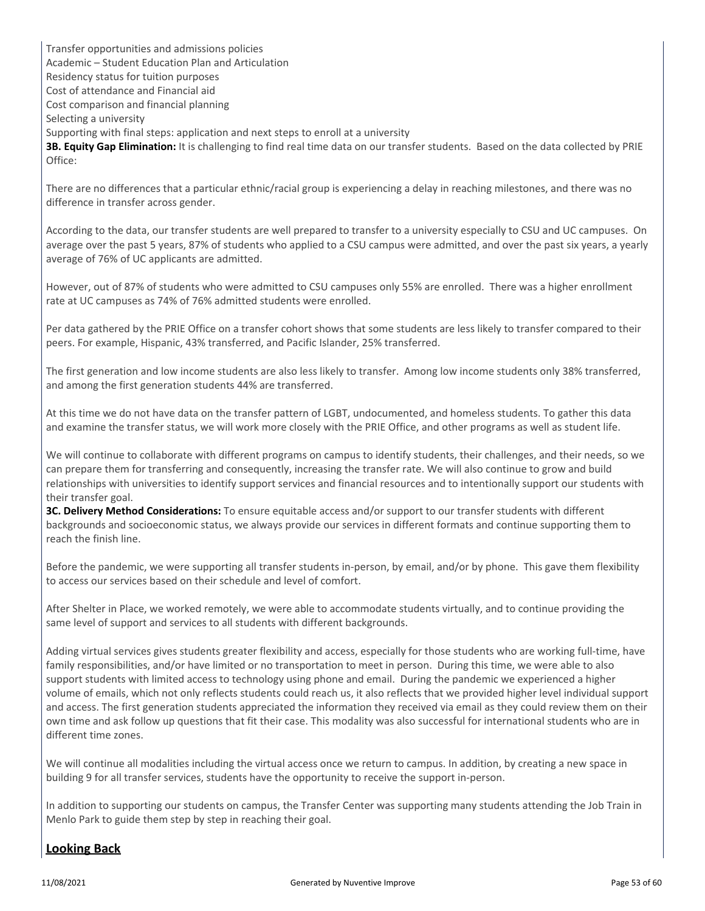Transfer opportunities and admissions policies Academic – Student Education Plan and Articulation Residency status for tuition purposes Cost of attendance and Financial aid Cost comparison and financial planning Selecting a university Supporting with final steps: application and next steps to enroll at a university **3B. Equity Gap Elimination:** It is challenging to find real time data on our transfer students. Based on the data collected by PRIE Office:

There are no differences that a particular ethnic/racial group is experiencing a delay in reaching milestones, and there was no difference in transfer across gender.

According to the data, our transfer students are well prepared to transfer to a university especially to CSU and UC campuses. On average over the past 5 years, 87% of students who applied to a CSU campus were admitted, and over the past six years, a yearly average of 76% of UC applicants are admitted.

However, out of 87% of students who were admitted to CSU campuses only 55% are enrolled. There was a higher enrollment rate at UC campuses as 74% of 76% admitted students were enrolled.

Per data gathered by the PRIE Office on a transfer cohort shows that some students are less likely to transfer compared to their peers. For example, Hispanic, 43% transferred, and Pacific Islander, 25% transferred.

The first generation and low income students are also less likely to transfer. Among low income students only 38% transferred, and among the first generation students 44% are transferred.

At this time we do not have data on the transfer pattern of LGBT, undocumented, and homeless students. To gather this data and examine the transfer status, we will work more closely with the PRIE Office, and other programs as well as student life.

We will continue to collaborate with different programs on campus to identify students, their challenges, and their needs, so we can prepare them for transferring and consequently, increasing the transfer rate. We will also continue to grow and build relationships with universities to identify support services and financial resources and to intentionally support our students with their transfer goal.

**3C. Delivery Method Considerations:** To ensure equitable access and/or support to our transfer students with different backgrounds and socioeconomic status, we always provide our services in different formats and continue supporting them to reach the finish line.

Before the pandemic, we were supporting all transfer students in-person, by email, and/or by phone. This gave them flexibility to access our services based on their schedule and level of comfort.

After Shelter in Place, we worked remotely, we were able to accommodate students virtually, and to continue providing the same level of support and services to all students with different backgrounds.

Adding virtual services gives students greater flexibility and access, especially for those students who are working full-time, have family responsibilities, and/or have limited or no transportation to meet in person. During this time, we were able to also support students with limited access to technology using phone and email. During the pandemic we experienced a higher volume of emails, which not only reflects students could reach us, it also reflects that we provided higher level individual support and access. The first generation students appreciated the information they received via email as they could review them on their own time and ask follow up questions that fit their case. This modality was also successful for international students who are in different time zones.

We will continue all modalities including the virtual access once we return to campus. In addition, by creating a new space in building 9 for all transfer services, students have the opportunity to receive the support in-person.

In addition to supporting our students on campus, the Transfer Center was supporting many students attending the Job Train in Menlo Park to guide them step by step in reaching their goal.

#### **Looking Back**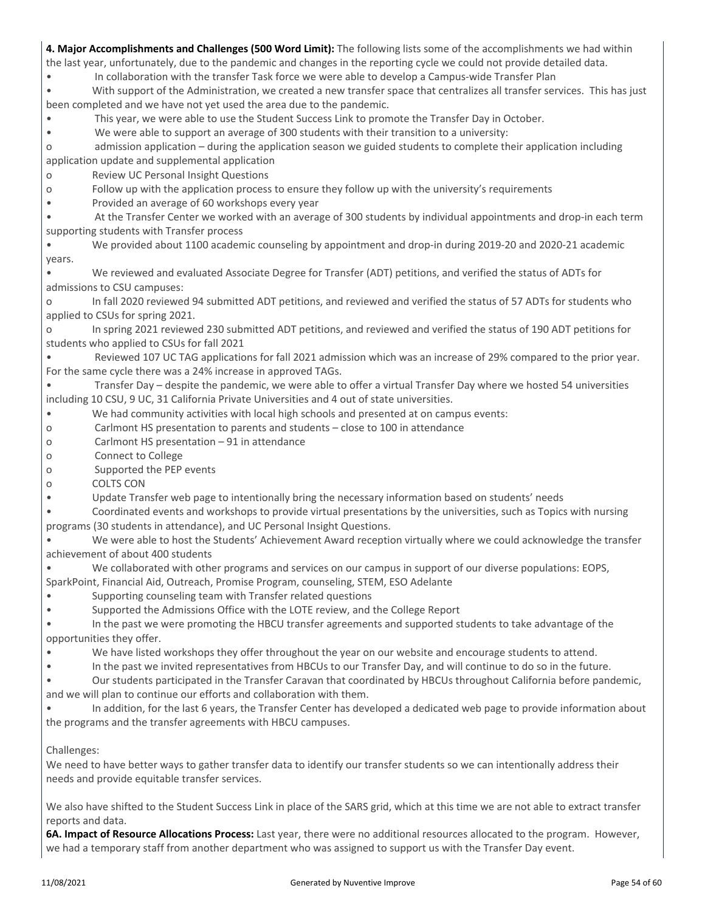| 4. Major Accomplishments and Challenges (500 Word Limit): The following lists some of the accomplishments we had within  |
|--------------------------------------------------------------------------------------------------------------------------|
| the last year, unfortunately, due to the pandemic and changes in the reporting cycle we could not provide detailed data. |

• In collaboration with the transfer Task force we were able to develop a Campus-wide Transfer Plan

• With support of the Administration, we created a new transfer space that centralizes all transfer services. This has just been completed and we have not yet used the area due to the pandemic.

• This year, we were able to use the Student Success Link to promote the Transfer Day in October.

• We were able to support an average of 300 students with their transition to a university:

o admission application – during the application season we guided students to complete their application including application update and supplemental application

o Review UC Personal Insight Questions

o Follow up with the application process to ensure they follow up with the university's requirements

• Provided an average of 60 workshops every year

• At the Transfer Center we worked with an average of 300 students by individual appointments and drop-in each term supporting students with Transfer process

• We provided about 1100 academic counseling by appointment and drop-in during 2019-20 and 2020-21 academic years.

• We reviewed and evaluated Associate Degree for Transfer (ADT) petitions, and verified the status of ADTs for admissions to CSU campuses:

o In fall 2020 reviewed 94 submitted ADT petitions, and reviewed and verified the status of 57 ADTs for students who applied to CSUs for spring 2021.

o In spring 2021 reviewed 230 submitted ADT petitions, and reviewed and verified the status of 190 ADT petitions for students who applied to CSUs for fall 2021

• Reviewed 107 UC TAG applications for fall 2021 admission which was an increase of 29% compared to the prior year. For the same cycle there was a 24% increase in approved TAGs.

• Transfer Day – despite the pandemic, we were able to offer a virtual Transfer Day where we hosted 54 universities including 10 CSU, 9 UC, 31 California Private Universities and 4 out of state universities.

• We had community activities with local high schools and presented at on campus events:

o Carlmont HS presentation to parents and students – close to 100 in attendance

- o Carlmont HS presentation 91 in attendance
- o Connect to College
- o Supported the PEP events
- o COLTS CON
- Update Transfer web page to intentionally bring the necessary information based on students' needs

• Coordinated events and workshops to provide virtual presentations by the universities, such as Topics with nursing programs (30 students in attendance), and UC Personal Insight Questions.

• We were able to host the Students' Achievement Award reception virtually where we could acknowledge the transfer achievement of about 400 students

• We collaborated with other programs and services on our campus in support of our diverse populations: EOPS,

SparkPoint, Financial Aid, Outreach, Promise Program, counseling, STEM, ESO Adelante

• Supporting counseling team with Transfer related questions

• Supported the Admissions Office with the LOTE review, and the College Report

• In the past we were promoting the HBCU transfer agreements and supported students to take advantage of the opportunities they offer.

• We have listed workshops they offer throughout the year on our website and encourage students to attend.

• In the past we invited representatives from HBCUs to our Transfer Day, and will continue to do so in the future.

• Our students participated in the Transfer Caravan that coordinated by HBCUs throughout California before pandemic, and we will plan to continue our efforts and collaboration with them.

• In addition, for the last 6 years, the Transfer Center has developed a dedicated web page to provide information about the programs and the transfer agreements with HBCU campuses.

#### Challenges:

We need to have better ways to gather transfer data to identify our transfer students so we can intentionally address their needs and provide equitable transfer services.

We also have shifted to the Student Success Link in place of the SARS grid, which at this time we are not able to extract transfer reports and data.

**6A. Impact of Resource Allocations Process:** Last year, there were no additional resources allocated to the program. However, we had a temporary staff from another department who was assigned to support us with the Transfer Day event.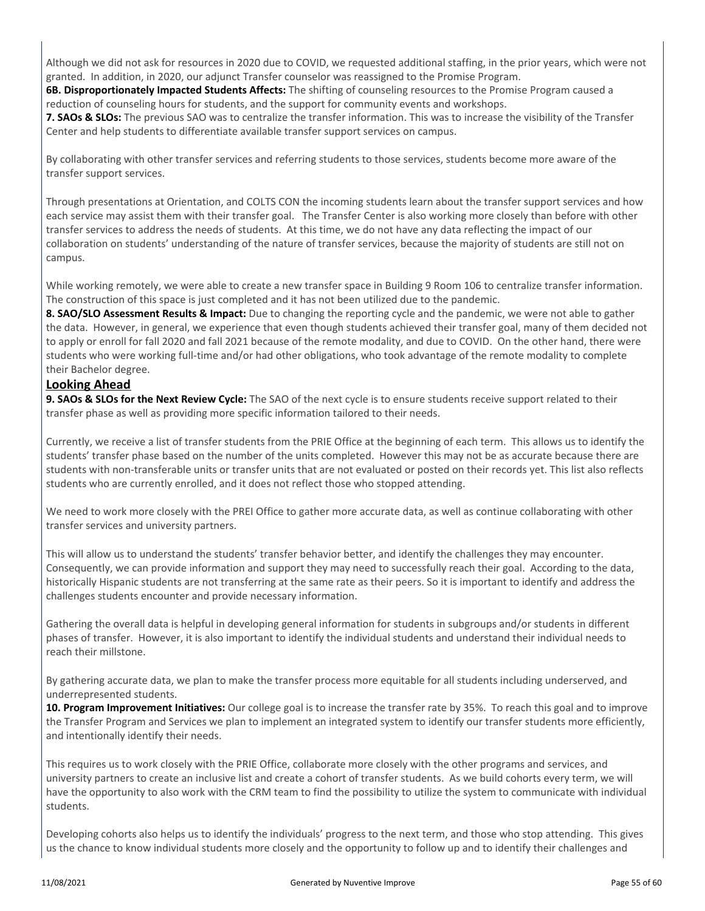Although we did not ask for resources in 2020 due to COVID, we requested additional staffing, in the prior years, which were not granted. In addition, in 2020, our adjunct Transfer counselor was reassigned to the Promise Program.

**6B. Disproportionately Impacted Students Affects:** The shifting of counseling resources to the Promise Program caused a reduction of counseling hours for students, and the support for community events and workshops.

**7. SAOs & SLOs:** The previous SAO was to centralize the transfer information. This was to increase the visibility of the Transfer Center and help students to differentiate available transfer support services on campus.

By collaborating with other transfer services and referring students to those services, students become more aware of the transfer support services.

Through presentations at Orientation, and COLTS CON the incoming students learn about the transfer support services and how each service may assist them with their transfer goal. The Transfer Center is also working more closely than before with other transfer services to address the needs of students. At this time, we do not have any data reflecting the impact of our collaboration on students' understanding of the nature of transfer services, because the majority of students are still not on campus.

While working remotely, we were able to create a new transfer space in Building 9 Room 106 to centralize transfer information. The construction of this space is just completed and it has not been utilized due to the pandemic.

**8. SAO/SLO Assessment Results & Impact:** Due to changing the reporting cycle and the pandemic, we were not able to gather the data. However, in general, we experience that even though students achieved their transfer goal, many of them decided not to apply or enroll for fall 2020 and fall 2021 because of the remote modality, and due to COVID. On the other hand, there were students who were working full-time and/or had other obligations, who took advantage of the remote modality to complete their Bachelor degree.

#### **Looking Ahead**

**9. SAOs & SLOs for the Next Review Cycle:** The SAO of the next cycle is to ensure students receive support related to their transfer phase as well as providing more specific information tailored to their needs.

Currently, we receive a list of transfer students from the PRIE Office at the beginning of each term. This allows us to identify the students' transfer phase based on the number of the units completed. However this may not be as accurate because there are students with non-transferable units or transfer units that are not evaluated or posted on their records yet. This list also reflects students who are currently enrolled, and it does not reflect those who stopped attending.

We need to work more closely with the PREI Office to gather more accurate data, as well as continue collaborating with other transfer services and university partners.

This will allow us to understand the students' transfer behavior better, and identify the challenges they may encounter. Consequently, we can provide information and support they may need to successfully reach their goal. According to the data, historically Hispanic students are not transferring at the same rate as their peers. So it is important to identify and address the challenges students encounter and provide necessary information.

Gathering the overall data is helpful in developing general information for students in subgroups and/or students in different phases of transfer. However, it is also important to identify the individual students and understand their individual needs to reach their millstone.

By gathering accurate data, we plan to make the transfer process more equitable for all students including underserved, and underrepresented students.

**10. Program Improvement Initiatives:** Our college goal is to increase the transfer rate by 35%. To reach this goal and to improve the Transfer Program and Services we plan to implement an integrated system to identify our transfer students more efficiently, and intentionally identify their needs.

This requires us to work closely with the PRIE Office, collaborate more closely with the other programs and services, and university partners to create an inclusive list and create a cohort of transfer students. As we build cohorts every term, we will have the opportunity to also work with the CRM team to find the possibility to utilize the system to communicate with individual students.

Developing cohorts also helps us to identify the individuals' progress to the next term, and those who stop attending. This gives us the chance to know individual students more closely and the opportunity to follow up and to identify their challenges and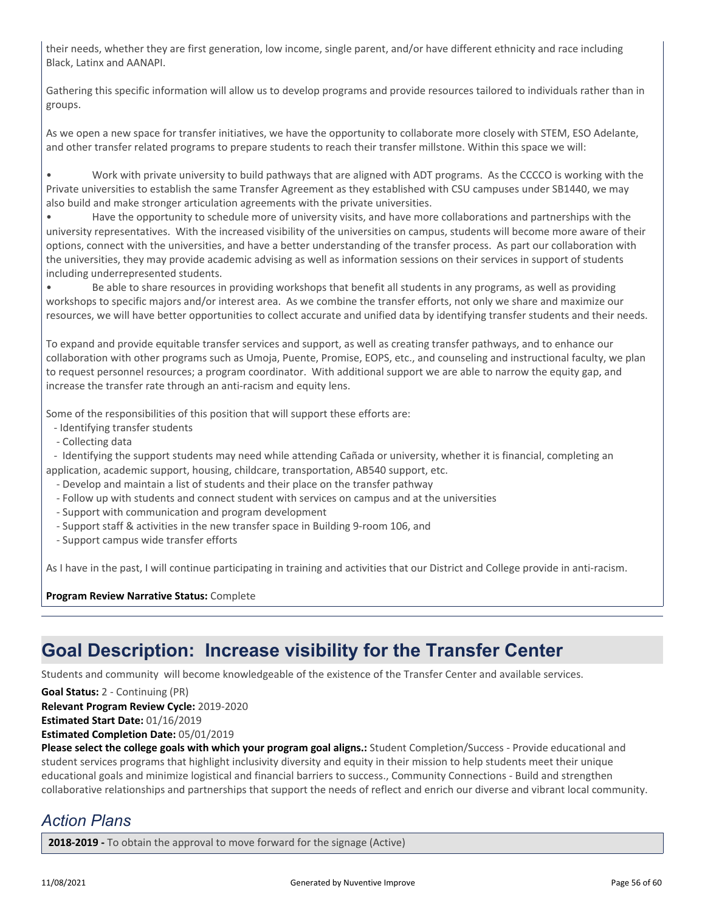their needs, whether they are first generation, low income, single parent, and/or have different ethnicity and race including Black, Latinx and AANAPI.

Gathering this specific information will allow us to develop programs and provide resources tailored to individuals rather than in groups.

As we open a new space for transfer initiatives, we have the opportunity to collaborate more closely with STEM, ESO Adelante, and other transfer related programs to prepare students to reach their transfer millstone. Within this space we will:

• Work with private university to build pathways that are aligned with ADT programs. As the CCCCO is working with the Private universities to establish the same Transfer Agreement as they established with CSU campuses under SB1440, we may also build and make stronger articulation agreements with the private universities.

• Have the opportunity to schedule more of university visits, and have more collaborations and partnerships with the university representatives. With the increased visibility of the universities on campus, students will become more aware of their options, connect with the universities, and have a better understanding of the transfer process. As part our collaboration with the universities, they may provide academic advising as well as information sessions on their services in support of students including underrepresented students.

• Be able to share resources in providing workshops that benefit all students in any programs, as well as providing workshops to specific majors and/or interest area. As we combine the transfer efforts, not only we share and maximize our resources, we will have better opportunities to collect accurate and unified data by identifying transfer students and their needs.

To expand and provide equitable transfer services and support, as well as creating transfer pathways, and to enhance our collaboration with other programs such as Umoja, Puente, Promise, EOPS, etc., and counseling and instructional faculty, we plan to request personnel resources; a program coordinator. With additional support we are able to narrow the equity gap, and increase the transfer rate through an anti-racism and equity lens.

Some of the responsibilities of this position that will support these efforts are:

- Identifying transfer students
- Collecting data

 - Identifying the support students may need while attending Cañada or university, whether it is financial, completing an application, academic support, housing, childcare, transportation, AB540 support, etc.

- Develop and maintain a list of students and their place on the transfer pathway
- Follow up with students and connect student with services on campus and at the universities
- Support with communication and program development
- Support staff & activities in the new transfer space in Building 9-room 106, and
- Support campus wide transfer efforts

As I have in the past, I will continue participating in training and activities that our District and College provide in anti-racism.

**Program Review Narrative Status:** Complete

## **Goal Description: Increase visibility for the Transfer Center**

Students and community will become knowledgeable of the existence of the Transfer Center and available services.

**Goal Status:** 2 - Continuing (PR)

**Relevant Program Review Cycle:** 2019-2020

**Estimated Start Date:** 01/16/2019

**Estimated Completion Date:** 05/01/2019

**Please select the college goals with which your program goal aligns.:** Student Completion/Success - Provide educational and student services programs that highlight inclusivity diversity and equity in their mission to help students meet their unique educational goals and minimize logistical and financial barriers to success., Community Connections - Build and strengthen collaborative relationships and partnerships that support the needs of reflect and enrich our diverse and vibrant local community.

## *Action Plans*

**2018-2019 -** To obtain the approval to move forward for the signage (Active)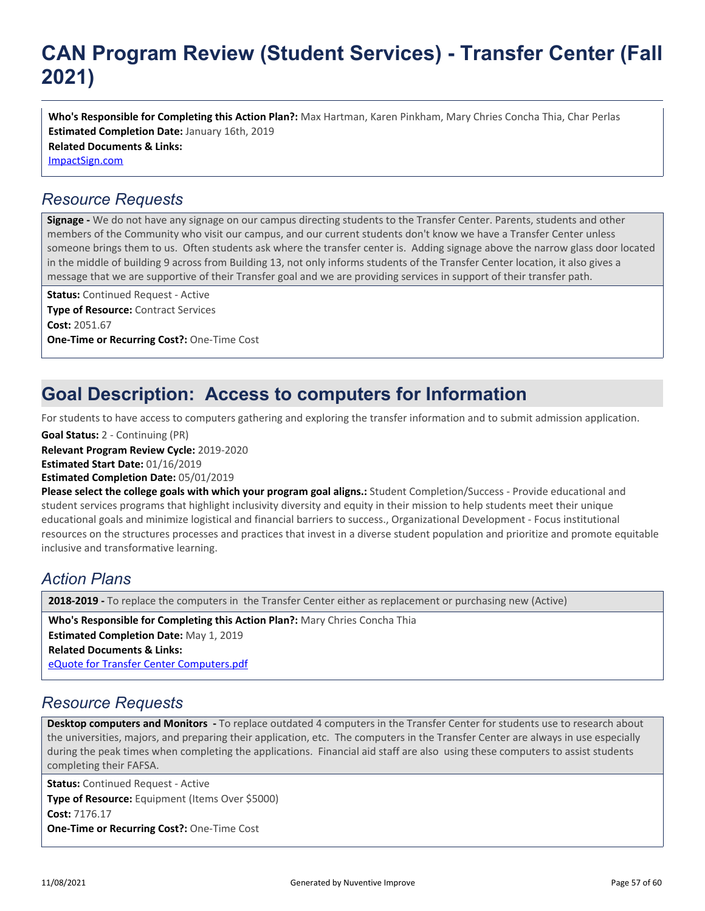# **CAN Program Review (Student Services) - Transfer Center (Fall 2021)**

**Related Documents & Links:** [ImpactSign.com](https://sanmateo.improve.nuventive.com:443/tracdat/viewDocument?y=YYfp7TVkOQxe) **Who's Responsible for Completing this Action Plan?:** Max Hartman, Karen Pinkham, Mary Chries Concha Thia, Char Perlas **Estimated Completion Date:** January 16th, 2019

## *Resource Requests*

**Signage -** We do not have any signage on our campus directing students to the Transfer Center. Parents, students and other members of the Community who visit our campus, and our current students don't know we have a Transfer Center unless someone brings them to us. Often students ask where the transfer center is. Adding signage above the narrow glass door located in the middle of building 9 across from Building 13, not only informs students of the Transfer Center location, it also gives a message that we are supportive of their Transfer goal and we are providing services in support of their transfer path.

**Status:** Continued Request - Active **Type of Resource:** Contract Services **Cost:** 2051.67 **One-Time or Recurring Cost?:** One-Time Cost

# **Goal Description: Access to computers for Information**

For students to have access to computers gathering and exploring the transfer information and to submit admission application.

**Relevant Program Review Cycle:** 2019-2020 **Estimated Start Date:** 01/16/2019 **Estimated Completion Date:** 05/01/2019 **Goal Status:** 2 - Continuing (PR)

**Please select the college goals with which your program goal aligns.:** Student Completion/Success - Provide educational and student services programs that highlight inclusivity diversity and equity in their mission to help students meet their unique educational goals and minimize logistical and financial barriers to success., Organizational Development - Focus institutional resources on the structures processes and practices that invest in a diverse student population and prioritize and promote equitable inclusive and transformative learning.

## *Action Plans*

**2018-2019 -** To replace the computers in the Transfer Center either as replacement or purchasing new (Active)

**Who's Responsible for Completing this Action Plan?:** Mary Chries Concha Thia

**Estimated Completion Date:** May 1, 2019

**Related Documents & Links:**

[eQuote for Transfer Center Computers.pdf](https://sanmateo.improve.nuventive.com:443/tracdat/viewDocument?y=9GsENIcFYX2Q)

## *Resource Requests*

**Desktop computers and Monitors -** To replace outdated 4 computers in the Transfer Center for students use to research about the universities, majors, and preparing their application, etc. The computers in the Transfer Center are always in use especially during the peak times when completing the applications. Financial aid staff are also using these computers to assist students completing their FAFSA.

**Status:** Continued Request - Active **Type of Resource:** Equipment (Items Over \$5000) **Cost:** 7176.17 **One-Time or Recurring Cost?:** One-Time Cost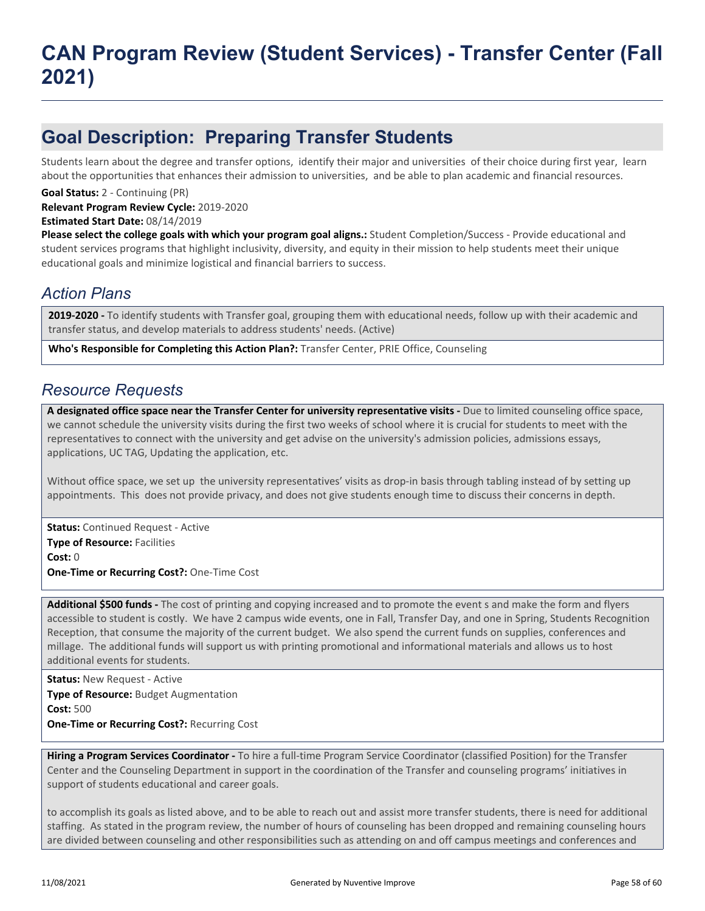## **Goal Description: Preparing Transfer Students**

Students learn about the degree and transfer options, identify their major and universities of their choice during first year, learn about the opportunities that enhances their admission to universities, and be able to plan academic and financial resources.

**Goal Status:** 2 - Continuing (PR)

**Relevant Program Review Cycle:** 2019-2020

**Estimated Start Date:** 08/14/2019

**Please select the college goals with which your program goal aligns.:** Student Completion/Success - Provide educational and student services programs that highlight inclusivity, diversity, and equity in their mission to help students meet their unique educational goals and minimize logistical and financial barriers to success.

## *Action Plans*

**2019-2020 -** To identify students with Transfer goal, grouping them with educational needs, follow up with their academic and transfer status, and develop materials to address students' needs. (Active)

**Who's Responsible for Completing this Action Plan?:** Transfer Center, PRIE Office, Counseling

### *Resource Requests*

A designated office space near the Transfer Center for university representative visits - Due to limited counseling office space, we cannot schedule the university visits during the first two weeks of school where it is crucial for students to meet with the representatives to connect with the university and get advise on the university's admission policies, admissions essays, applications, UC TAG, Updating the application, etc.

Without office space, we set up the university representatives' visits as drop-in basis through tabling instead of by setting up appointments. This does not provide privacy, and does not give students enough time to discuss their concerns in depth.

**Status:** Continued Request - Active **Type of Resource:** Facilities **Cost:** 0 **One-Time or Recurring Cost?:** One-Time Cost

**Additional \$500 funds -** The cost of printing and copying increased and to promote the event s and make the form and flyers accessible to student is costly. We have 2 campus wide events, one in Fall, Transfer Day, and one in Spring, Students Recognition Reception, that consume the majority of the current budget. We also spend the current funds on supplies, conferences and millage. The additional funds will support us with printing promotional and informational materials and allows us to host additional events for students.

**Status:** New Request - Active **Type of Resource:** Budget Augmentation **Cost:** 500 **One-Time or Recurring Cost?:** Recurring Cost

**Hiring a Program Services Coordinator -** To hire a full-time Program Service Coordinator (classified Position) for the Transfer Center and the Counseling Department in support in the coordination of the Transfer and counseling programs' initiatives in support of students educational and career goals.

to accomplish its goals as listed above, and to be able to reach out and assist more transfer students, there is need for additional staffing. As stated in the program review, the number of hours of counseling has been dropped and remaining counseling hours are divided between counseling and other responsibilities such as attending on and off campus meetings and conferences and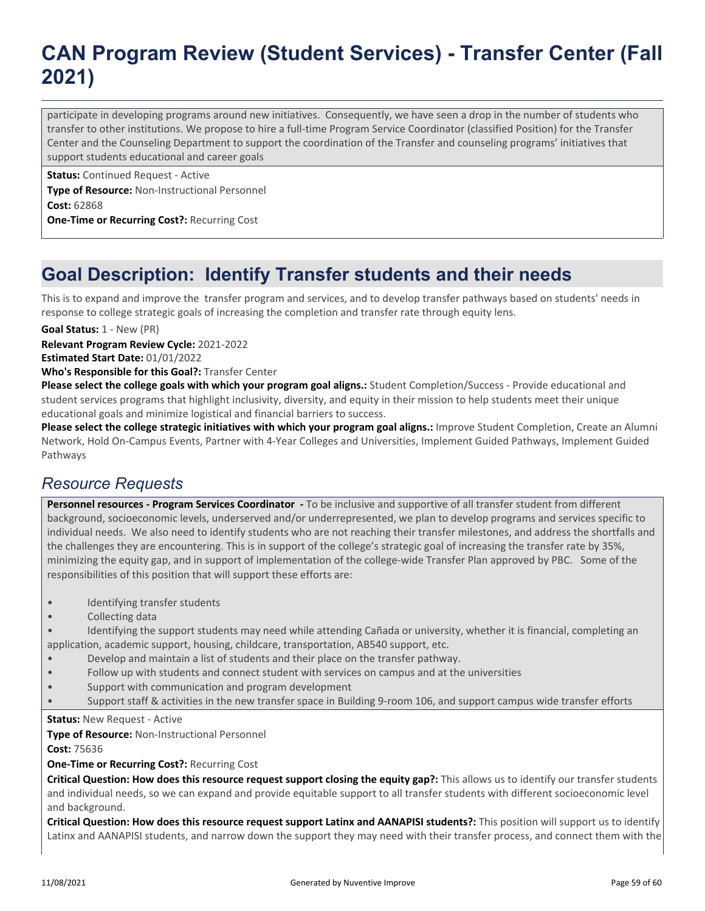# **CAN Program Review (Student Services) - Transfer Center (Fall 2021)**

participate in developing programs around new initiatives. Consequently, we have seen a drop in the number of students who transfer to other institutions. We propose to hire a full-time Program Service Coordinator (classified Position) for the Transfer Center and the Counseling Department to support the coordination of the Transfer and counseling programs' initiatives that support students educational and career goals

**Status:** Continued Request - Active

**Type of Resource:** Non-Instructional Personnel **Cost:** 62868

**One-Time or Recurring Cost?:** Recurring Cost

# **Goal Description: Identify Transfer students and their needs**

This is to expand and improve the transfer program and services, and to develop transfer pathways based on students' needs in response to college strategic goals of increasing the completion and transfer rate through equity lens.

**Goal Status:** 1 - New (PR)

**Relevant Program Review Cycle:** 2021-2022

**Estimated Start Date:** 01/01/2022

**Who's Responsible for this Goal?:** Transfer Center

**Please select the college goals with which your program goal aligns.:** Student Completion/Success - Provide educational and student services programs that highlight inclusivity, diversity, and equity in their mission to help students meet their unique educational goals and minimize logistical and financial barriers to success.

Please select the college strategic initiatives with which your program goal aligns.: Improve Student Completion, Create an Alumni Network, Hold On-Campus Events, Partner with 4-Year Colleges and Universities, Implement Guided Pathways, Implement Guided Pathways

## *Resource Requests*

**Personnel resources - Program Services Coordinator -** To be inclusive and supportive of all transfer student from different background, socioeconomic levels, underserved and/or underrepresented, we plan to develop programs and services specific to individual needs. We also need to identify students who are not reaching their transfer milestones, and address the shortfalls and the challenges they are encountering. This is in support of the college's strategic goal of increasing the transfer rate by 35%, minimizing the equity gap, and in support of implementation of the college-wide Transfer Plan approved by PBC. Some of the responsibilities of this position that will support these efforts are:

- Identifying transfer students
- Collecting data
- Identifying the support students may need while attending Cañada or university, whether it is financial, completing an application, academic support, housing, childcare, transportation, AB540 support, etc.
- Develop and maintain a list of students and their place on the transfer pathway.
- Follow up with students and connect student with services on campus and at the universities
- Support with communication and program development
- Support staff & activities in the new transfer space in Building 9-room 106, and support campus wide transfer efforts

**Status: New Request - Active** 

**Type of Resource:** Non-Instructional Personnel

**Cost:** 75636

#### **One-Time or Recurring Cost?:** Recurring Cost

**Critical Question: How does this resource request support closing the equity gap?:** This allows us to identify our transfer students and individual needs, so we can expand and provide equitable support to all transfer students with different socioeconomic level and background.

**Critical Question: How does this resource request support Latinx and AANAPISI students?:** This position will support us to identify Latinx and AANAPISI students, and narrow down the support they may need with their transfer process, and connect them with the